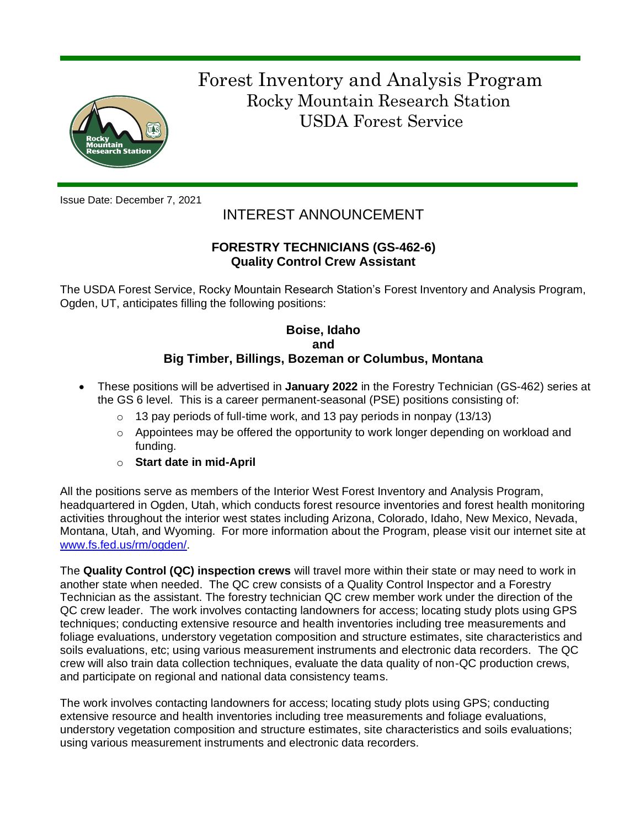

 Forest Inventory and Analysis Program Rocky Mountain Research Station USDA Forest Service

Issue Date: December 7, 2021

# INTEREST ANNOUNCEMENT

## **FORESTRY TECHNICIANS (GS-462-6) Quality Control Crew Assistant**

The USDA Forest Service, Rocky Mountain Research Station's Forest Inventory and Analysis Program, Ogden, UT, anticipates filling the following positions:

### **Boise, Idaho and Big Timber, Billings, Bozeman or Columbus, Montana**

- These positions will be advertised in **January 2022** in the Forestry Technician (GS-462) series at the GS 6 level. This is a career permanent-seasonal (PSE) positions consisting of:
	- $\circ$  13 pay periods of full-time work, and 13 pay periods in nonpay (13/13)
	- $\circ$  Appointees may be offered the opportunity to work longer depending on workload and funding.
	- o **Start date in mid-April**

All the positions serve as members of the Interior West Forest Inventory and Analysis Program, headquartered in Ogden, Utah, which conducts forest resource inventories and forest health monitoring activities throughout the interior west states including Arizona, Colorado, Idaho, New Mexico, Nevada, Montana, Utah, and Wyoming. For more information about the Program, please visit our internet site at [www.fs.fed.us/rm/ogden/.](http://www.fs.fed.us/rm/ogden/)

The **Quality Control (QC) inspection crews** will travel more within their state or may need to work in another state when needed. The QC crew consists of a Quality Control Inspector and a Forestry Technician as the assistant. The forestry technician QC crew member work under the direction of the QC crew leader. The work involves contacting landowners for access; locating study plots using GPS techniques; conducting extensive resource and health inventories including tree measurements and foliage evaluations, understory vegetation composition and structure estimates, site characteristics and soils evaluations, etc; using various measurement instruments and electronic data recorders. The QC crew will also train data collection techniques, evaluate the data quality of non-QC production crews, and participate on regional and national data consistency teams.

The work involves contacting landowners for access; locating study plots using GPS; conducting extensive resource and health inventories including tree measurements and foliage evaluations, understory vegetation composition and structure estimates, site characteristics and soils evaluations; using various measurement instruments and electronic data recorders.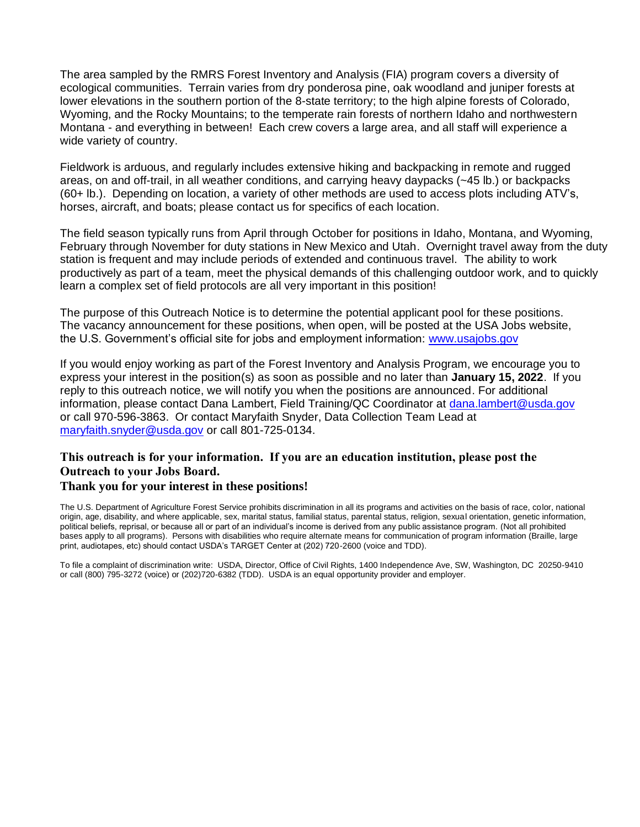The area sampled by the RMRS Forest Inventory and Analysis (FIA) program covers a diversity of ecological communities. Terrain varies from dry ponderosa pine, oak woodland and juniper forests at lower elevations in the southern portion of the 8-state territory; to the high alpine forests of Colorado, Wyoming, and the Rocky Mountains; to the temperate rain forests of northern Idaho and northwestern Montana - and everything in between! Each crew covers a large area, and all staff will experience a wide variety of country.

Fieldwork is arduous, and regularly includes extensive hiking and backpacking in remote and rugged areas, on and off-trail, in all weather conditions, and carrying heavy daypacks (~45 lb.) or backpacks (60+ lb.). Depending on location, a variety of other methods are used to access plots including ATV's, horses, aircraft, and boats; please contact us for specifics of each location.

The field season typically runs from April through October for positions in Idaho, Montana, and Wyoming, February through November for duty stations in New Mexico and Utah. Overnight travel away from the duty station is frequent and may include periods of extended and continuous travel. The ability to work productively as part of a team, meet the physical demands of this challenging outdoor work, and to quickly learn a complex set of field protocols are all very important in this position!

The purpose of this Outreach Notice is to determine the potential applicant pool for these positions. The vacancy announcement for these positions, when open, will be posted at the USA Jobs website, the U.S. Government's official site for jobs and employment information: [www.usajobs.gov](http://www.usajobs.gov/)

If you would enjoy working as part of the Forest Inventory and Analysis Program, we encourage you to express your interest in the position(s) as soon as possible and no later than **January 15, 2022**. If you reply to this outreach notice, we will notify you when the positions are announced. For additional information, please contact Dana Lambert, Field Training/QC Coordinator at [dana.lambert@usda.gov](mailto:dana.lambert@usda.gov) or call 970-596-3863. Or contact Maryfaith Snyder, Data Collection Team Lead at [maryfaith.snyder@usda.gov](mailto:maryfaith.snyder@usda.gov) or call 801-725-0134.

# **This outreach is for your information. If you are an education institution, please post the Outreach to your Jobs Board.**

#### **Thank you for your interest in these positions!**

The U.S. Department of Agriculture Forest Service prohibits discrimination in all its programs and activities on the basis of race, color, national origin, age, disability, and where applicable, sex, marital status, familial status, parental status, religion, sexual orientation, genetic information, political beliefs, reprisal, or because all or part of an individual's income is derived from any public assistance program. (Not all prohibited bases apply to all programs). Persons with disabilities who require alternate means for communication of program information (Braille, large print, audiotapes, etc) should contact USDA's TARGET Center at (202) 720-2600 (voice and TDD).

To file a complaint of discrimination write: USDA, Director, Office of Civil Rights, 1400 Independence Ave, SW, Washington, DC 20250-9410 or call (800) 795-3272 (voice) or (202)720-6382 (TDD). USDA is an equal opportunity provider and employer.